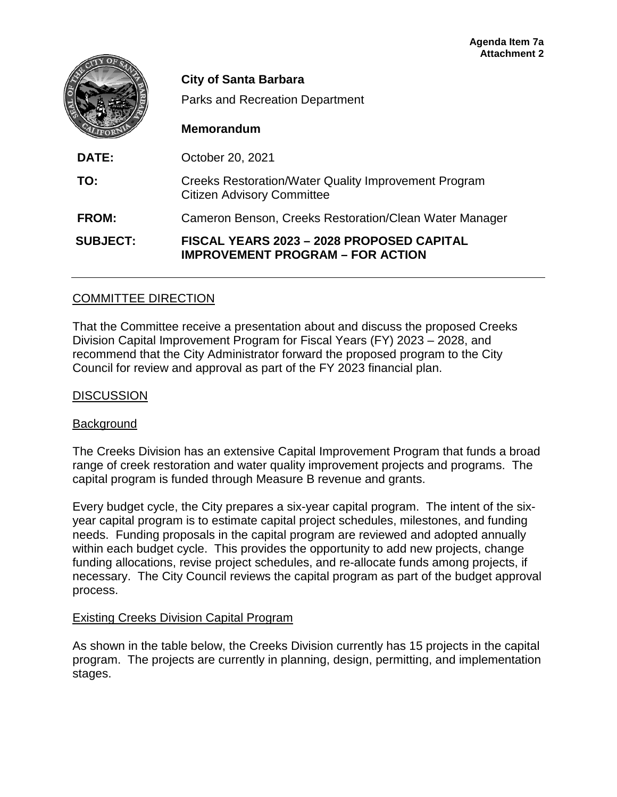|                 | <b>City of Santa Barbara</b><br><b>Parks and Recreation Department</b><br><b>Memorandum</b>      |
|-----------------|--------------------------------------------------------------------------------------------------|
| DATE:           | October 20, 2021                                                                                 |
| TO:             | <b>Creeks Restoration/Water Quality Improvement Program</b><br><b>Citizen Advisory Committee</b> |
| <b>FROM:</b>    | Cameron Benson, Creeks Restoration/Clean Water Manager                                           |
| <b>SUBJECT:</b> | FISCAL YEARS 2023 - 2028 PROPOSED CAPITAL<br><b>IMPROVEMENT PROGRAM - FOR ACTION</b>             |

#### COMMITTEE DIRECTION

That the Committee receive a presentation about and discuss the proposed Creeks Division Capital Improvement Program for Fiscal Years (FY) 2023 – 2028, and recommend that the City Administrator forward the proposed program to the City Council for review and approval as part of the FY 2023 financial plan.

#### **DISCUSSION**

#### Background

The Creeks Division has an extensive Capital Improvement Program that funds a broad range of creek restoration and water quality improvement projects and programs. The capital program is funded through Measure B revenue and grants.

Every budget cycle, the City prepares a six-year capital program. The intent of the sixyear capital program is to estimate capital project schedules, milestones, and funding needs. Funding proposals in the capital program are reviewed and adopted annually within each budget cycle. This provides the opportunity to add new projects, change funding allocations, revise project schedules, and re-allocate funds among projects, if necessary. The City Council reviews the capital program as part of the budget approval process.

#### Existing Creeks Division Capital Program

As shown in the table below, the Creeks Division currently has 15 projects in the capital program. The projects are currently in planning, design, permitting, and implementation stages.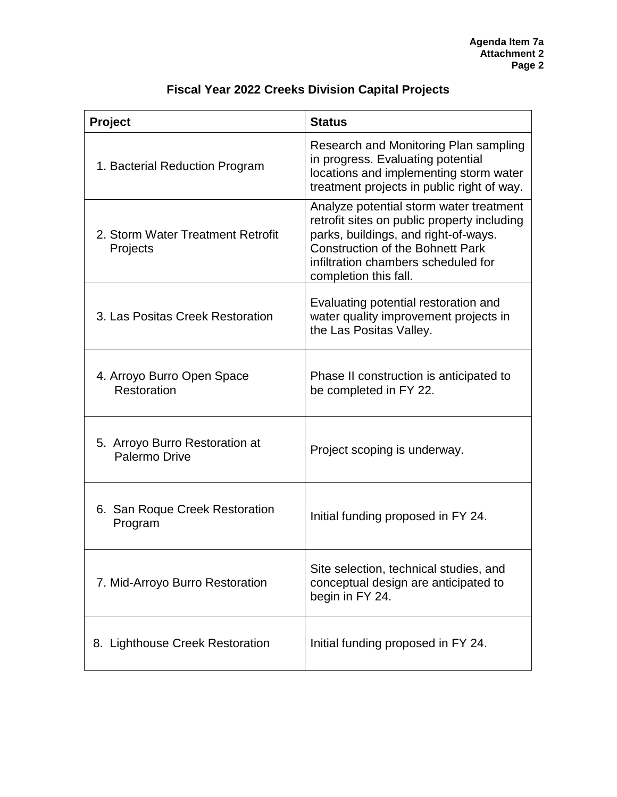| Project                                         | <b>Status</b>                                                                                                                                                                                                                             |
|-------------------------------------------------|-------------------------------------------------------------------------------------------------------------------------------------------------------------------------------------------------------------------------------------------|
| 1. Bacterial Reduction Program                  | Research and Monitoring Plan sampling<br>in progress. Evaluating potential<br>locations and implementing storm water<br>treatment projects in public right of way.                                                                        |
| 2. Storm Water Treatment Retrofit<br>Projects   | Analyze potential storm water treatment<br>retrofit sites on public property including<br>parks, buildings, and right-of-ways.<br><b>Construction of the Bohnett Park</b><br>infiltration chambers scheduled for<br>completion this fall. |
| 3. Las Positas Creek Restoration                | Evaluating potential restoration and<br>water quality improvement projects in<br>the Las Positas Valley.                                                                                                                                  |
| 4. Arroyo Burro Open Space<br>Restoration       | Phase II construction is anticipated to<br>be completed in FY 22.                                                                                                                                                                         |
| 5. Arroyo Burro Restoration at<br>Palermo Drive | Project scoping is underway.                                                                                                                                                                                                              |
| 6. San Roque Creek Restoration<br>Program       | Initial funding proposed in FY 24.                                                                                                                                                                                                        |
| 7. Mid-Arroyo Burro Restoration                 | Site selection, technical studies, and<br>conceptual design are anticipated to<br>begin in FY 24.                                                                                                                                         |
| 8. Lighthouse Creek Restoration                 | Initial funding proposed in FY 24.                                                                                                                                                                                                        |

# **Fiscal Year 2022 Creeks Division Capital Projects**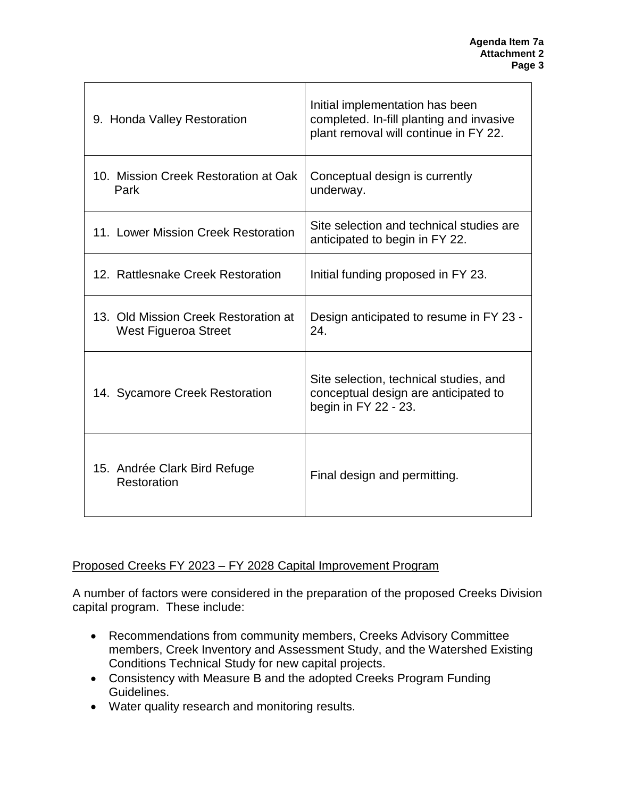| 9. Honda Valley Restoration                                         | Initial implementation has been<br>completed. In-fill planting and invasive<br>plant removal will continue in FY 22. |
|---------------------------------------------------------------------|----------------------------------------------------------------------------------------------------------------------|
| 10. Mission Creek Restoration at Oak<br>Park                        | Conceptual design is currently<br>underway.                                                                          |
| 11. Lower Mission Creek Restoration                                 | Site selection and technical studies are<br>anticipated to begin in FY 22.                                           |
| 12. Rattlesnake Creek Restoration                                   | Initial funding proposed in FY 23.                                                                                   |
| 13. Old Mission Creek Restoration at<br><b>West Figueroa Street</b> | Design anticipated to resume in FY 23 -<br>24.                                                                       |
| 14. Sycamore Creek Restoration                                      | Site selection, technical studies, and<br>conceptual design are anticipated to<br>begin in FY 22 - 23.               |
| 15. Andrée Clark Bird Refuge<br>Restoration                         | Final design and permitting.                                                                                         |

## Proposed Creeks FY 2023 – FY 2028 Capital Improvement Program

A number of factors were considered in the preparation of the proposed Creeks Division capital program. These include:

- Recommendations from community members, Creeks Advisory Committee members, Creek Inventory and Assessment Study, and the Watershed Existing Conditions Technical Study for new capital projects.
- Consistency with Measure B and the adopted Creeks Program Funding Guidelines.
- Water quality research and monitoring results.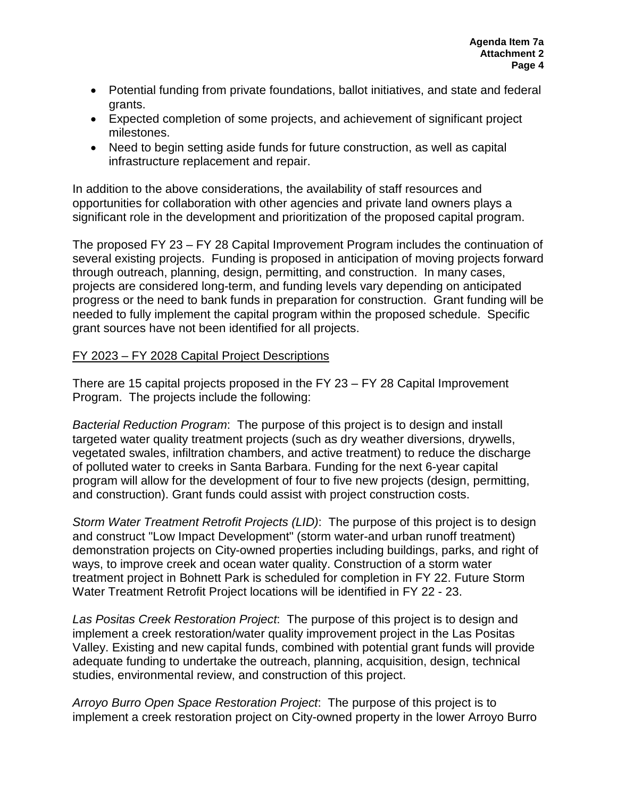- Potential funding from private foundations, ballot initiatives, and state and federal grants.
- Expected completion of some projects, and achievement of significant project milestones.
- Need to begin setting aside funds for future construction, as well as capital infrastructure replacement and repair.

In addition to the above considerations, the availability of staff resources and opportunities for collaboration with other agencies and private land owners plays a significant role in the development and prioritization of the proposed capital program.

The proposed FY 23 – FY 28 Capital Improvement Program includes the continuation of several existing projects. Funding is proposed in anticipation of moving projects forward through outreach, planning, design, permitting, and construction. In many cases, projects are considered long-term, and funding levels vary depending on anticipated progress or the need to bank funds in preparation for construction. Grant funding will be needed to fully implement the capital program within the proposed schedule. Specific grant sources have not been identified for all projects.

### FY 2023 – FY 2028 Capital Project Descriptions

There are 15 capital projects proposed in the FY 23 – FY 28 Capital Improvement Program. The projects include the following:

*Bacterial Reduction Program*: The purpose of this project is to design and install targeted water quality treatment projects (such as dry weather diversions, drywells, vegetated swales, infiltration chambers, and active treatment) to reduce the discharge of polluted water to creeks in Santa Barbara. Funding for the next 6-year capital program will allow for the development of four to five new projects (design, permitting, and construction). Grant funds could assist with project construction costs.

*Storm Water Treatment Retrofit Projects (LID)*: The purpose of this project is to design and construct "Low Impact Development" (storm water-and urban runoff treatment) demonstration projects on City-owned properties including buildings, parks, and right of ways, to improve creek and ocean water quality. Construction of a storm water treatment project in Bohnett Park is scheduled for completion in FY 22. Future Storm Water Treatment Retrofit Project locations will be identified in FY 22 - 23.

*Las Positas Creek Restoration Project*: The purpose of this project is to design and implement a creek restoration/water quality improvement project in the Las Positas Valley. Existing and new capital funds, combined with potential grant funds will provide adequate funding to undertake the outreach, planning, acquisition, design, technical studies, environmental review, and construction of this project.

*Arroyo Burro Open Space Restoration Project*: The purpose of this project is to implement a creek restoration project on City-owned property in the lower Arroyo Burro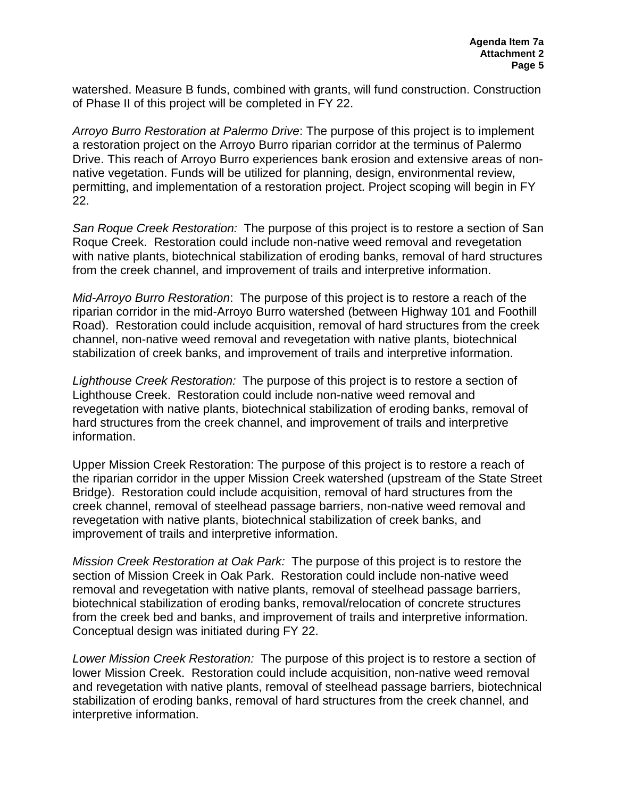watershed. Measure B funds, combined with grants, will fund construction. Construction of Phase II of this project will be completed in FY 22.

*Arroyo Burro Restoration at Palermo Drive*: The purpose of this project is to implement a restoration project on the Arroyo Burro riparian corridor at the terminus of Palermo Drive. This reach of Arroyo Burro experiences bank erosion and extensive areas of nonnative vegetation. Funds will be utilized for planning, design, environmental review, permitting, and implementation of a restoration project. Project scoping will begin in FY 22.

*San Roque Creek Restoration:* The purpose of this project is to restore a section of San Roque Creek. Restoration could include non-native weed removal and revegetation with native plants, biotechnical stabilization of eroding banks, removal of hard structures from the creek channel, and improvement of trails and interpretive information.

*Mid-Arroyo Burro Restoration*: The purpose of this project is to restore a reach of the riparian corridor in the mid-Arroyo Burro watershed (between Highway 101 and Foothill Road). Restoration could include acquisition, removal of hard structures from the creek channel, non-native weed removal and revegetation with native plants, biotechnical stabilization of creek banks, and improvement of trails and interpretive information.

*Lighthouse Creek Restoration:* The purpose of this project is to restore a section of Lighthouse Creek. Restoration could include non-native weed removal and revegetation with native plants, biotechnical stabilization of eroding banks, removal of hard structures from the creek channel, and improvement of trails and interpretive information.

Upper Mission Creek Restoration: The purpose of this project is to restore a reach of the riparian corridor in the upper Mission Creek watershed (upstream of the State Street Bridge). Restoration could include acquisition, removal of hard structures from the creek channel, removal of steelhead passage barriers, non-native weed removal and revegetation with native plants, biotechnical stabilization of creek banks, and improvement of trails and interpretive information.

*Mission Creek Restoration at Oak Park:* The purpose of this project is to restore the section of Mission Creek in Oak Park. Restoration could include non-native weed removal and revegetation with native plants, removal of steelhead passage barriers, biotechnical stabilization of eroding banks, removal/relocation of concrete structures from the creek bed and banks, and improvement of trails and interpretive information. Conceptual design was initiated during FY 22.

*Lower Mission Creek Restoration:* The purpose of this project is to restore a section of lower Mission Creek. Restoration could include acquisition, non-native weed removal and revegetation with native plants, removal of steelhead passage barriers, biotechnical stabilization of eroding banks, removal of hard structures from the creek channel, and interpretive information.